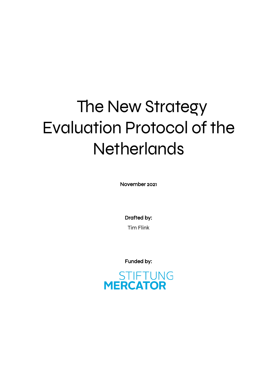# The New Strategy Evaluation Protocol of the **Netherlands**

November 2021

Drafted by: Tim Flink

Funded by:

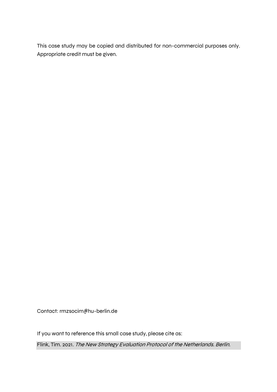This case study may be copied and distributed for non-commercial purposes only. Appropriate credit must be given.

Contact: rmzsocim@hu-berlin.de

If you want to reference this small case study, please cite as:

Flink, Tim. 2021. The New Strategy Evaluation Protocol of the Netherlands. Berlin.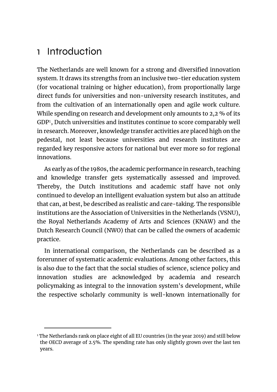### 1 Introduction

The Netherlands are well known for a strong and diversified innovation system. It draws its strengths from an inclusive two-tier education system (for vocational training or higher education), from proportionally large direct funds for universities and non-university research institutes, and from the cultivation of an internationally open and agile work culture. While spending on research and development only amounts to 2,2 % of its GDP<sup>1</sup>, Dutch universities and institutes continue to score comparably well in research. Moreover, knowledge transfer activities are placed high on the pedestal, not least because universities and research institutes are regarded key responsive actors for national but ever more so for regional innovations.

As early as of the 1980s, the academic performance in research, teaching and knowledge transfer gets systematically assessed and improved. Thereby, the Dutch institutions and academic staff have not only continued to develop an intelligent evaluation system but also an attitude that can, at best, be described as realistic and care-taking. The responsible institutions are the Association of Universities in the Netherlands (VSNU), the Royal Netherlands Academy of Arts and Sciences (KNAW) and the Dutch Research Council (NWO) that can be called the owners of academic practice.

In international comparison, the Netherlands can be described as a forerunner of systematic academic evaluations. Among other factors, this is also due to the fact that the social studies of science, science policy and innovation studies are acknowledged by academia and research policymaking as integral to the innovation system's development, while the respective scholarly community is well-known internationally for

<sup>&</sup>lt;sup>1</sup> The Netherlands rank on place eight of all EU countries (in the year 2019) and still below the OECD average of 2.5%. The spending rate has only slightly grown over the last ten years.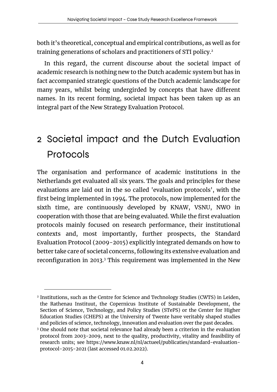both it's theoretical, conceptual and empirical contributions, as well as for training generations of scholars and practitioners of STI policy. 2

In this regard, the current discourse about the societal impact of academic research is nothing new to the Dutch academic system but has in fact accompanied strategic questions of the Dutch academic landscape for many years, whilst being undergirded by concepts that have different names. In its recent forming, societal impact has been taken up as an integral part of the New Strategy Evaluation Protocol.

## 2 Societal impact and the Dutch Evaluation Protocols

The organisation and performance of academic institutions in the Netherlands get evaluated all six years. The goals and principles for these evaluations are laid out in the so called 'evaluation protocols', with the first being implemented in 1994. The protocols, now implemented for the sixth time, are continuously developed by KNAW, VSNU, NWO in cooperation with those that are being evaluated. While the first evaluation protocols mainly focused on research performance, their institutional contexts and, most importantly, further prospects, the Standard Evaluation Protocol (2009-2015) explicitly integrated demands on how to better take care of societal concerns, following its extensive evaluation and reconfiguration in 2013.<sup>3</sup> This requirement was implemented in the New

<sup>&</sup>lt;sup>2</sup> Institutions, such as the Centre for Science and Technology Studies (CWTS) in Leiden, the Rathenau Instituut, the Copernicus Institute of Sustainable Development, the Section of Science, Technology, and Policy Studies (STePS) or the Center for Higher Education Studies (CHEPS) at the University of Twente have veritably shaped studies and policies of science, technology, innovation and evaluation over the past decades.

<sup>&</sup>lt;sup>3</sup> One should note that societal relevance had already been a criterion in the evaluation protocol from 2003-2009, next to the quality, productivity, vitality and feasibility of research units; see https://www.knaw.nl/nl/actueel/publicaties/standard-evaluationprotocol-2015-2021 (last accessed 01.02.2022).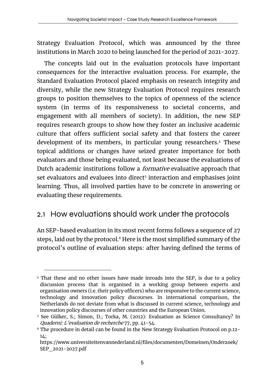Strategy Evaluation Protocol, which was announced by the three institutions in March 2020 to being launched for the period of 2021-2027.

The concepts laid out in the evaluation protocols have important consequences for the interactive evaluation process. For example, the Standard Evaluation Protocol placed emphasis on research integrity and diversity, while the new Strategy Evaluation Protocol requires research groups to position themselves to the topics of openness of the science system (in terms of its responsiveness to societal concerns, and engagement with all members of society). In addition, the new SEP requires research groups to show how they foster an inclusive academic culture that offers sufficient social safety and that fosters the career development of its members, in particular young researchers.4 These topical additions or changes have seized greater importance for both evaluators and those being evaluated, not least because the evaluations of Dutch academic institutions follow a *formative* evaluative approach that set evaluators and evaluees into direct<sup>5</sup> interaction and emphasises joint learning. Thus, all involved parties have to be concrete in answering or evaluating these requirements.

#### 2.1 How evaluations should work under the protocols

An SEP-based evaluation in its most recent forms follows a sequence of 27 steps, laid out by the protocol.<sup>6</sup> Here is the most simplified summary of the protocol's outline of evaluation steps: after having defined the terms of

<sup>4</sup> That these and no other issues have made inroads into the SEP, is due to a policy discussion process that is organised in a working group between experts and organisation owners (i.e. their policy officers) who are responsive to the current science, technology and innovation policy discourses. In international comparison, the Netherlands do not deviate from what is discussed in current science, technology and innovation policy discourses of other countries and the European Union.

<sup>5</sup> See Gülker, S.; Simon, D.; Torka, M. (2012): Evaluation as Science Consultancy? In Quaderni: L'evaluation de recherche 77, pp. 41-54.

<sup>6</sup> The procedure in detail can be found in the New Strategy Evaluation Protocol on p.12- 14;

https://www.universiteitenvannederland.nl/files/documenten/Domeinen/Onderzoek/ SEP\_2021-2027.pdf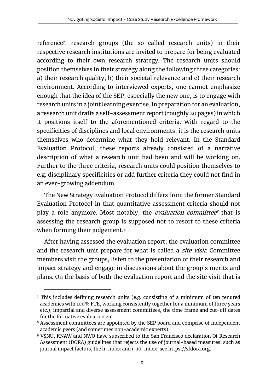reference7, research groups (the so called research units) in their respective research institutions are invited to prepare for being evaluated according to their own research strategy. The research units should position themselves in their strategy along the following three categories: a) their research quality, b) their societal relevance and c) their research environment. According to interviewed experts, one cannot emphasize enough that the idea of the SEP, especially the new one, is to engage with research units in a joint learning exercise. In preparation for an evaluation, a research unit drafts a self-assessment report (roughly 20 pages) in which it positions itself to the aforementioned criteria. With regard to the specificities of disciplines and local environments, it is the research units themselves who determine what they hold relevant. In the Standard Evaluation Protocol, these reports already consisted of a narrative description of what a research unit had been and will be working on. Further to the three criteria, research units could position themselves to e.g. disciplinary specificities or add further criteria they could not find in an ever-growing addendum.

The New Strategy Evaluation Protocol differs from the former Standard Evaluation Protocol in that quantitative assessment criteria should not play a role anymore. Most notably, the *evaluation committee<sup>s</sup>* that is assessing the research group is supposed not to resort to these criteria when forming their judgement.<sup>9</sup>

After having assessed the evaluation report, the evaluation committee and the research unit prepare for what is called a *site visit*. Committee members visit the groups, listen to the presentation of their research and impact strategy and engage in discussions about the group's merits and plans. On the basis of both the evaluation report and the site visit that is

<sup>7</sup> This includes defining research units (e.g. consisting of a minimum of ten tenured academics with 100% FTE, working consistently together for a minimum of three years etc.), impartial and diverse assessment committees, the time frame and cut-off dates for the formative evaluation etc.

<sup>&</sup>lt;sup>8</sup> Assessment committees are appointed by the SEP board and comprise of independent academic peers (and sometimes non-academic experts).

<sup>9</sup> VSNU, KNAW and NWO have subscribed to the San Francisco declaration Of Research Assessment (DORA) guidelines that rejects the use of journal-based measures, such as journal impact factors, the h-index and i-10-index; see https://sfdora.org.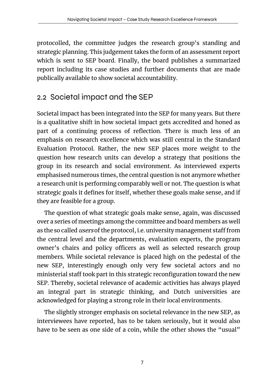protocolled, the committee judges the research group's standing and strategic planning. This judgement takes the form of an assessment report which is sent to SEP board. Finally, the board publishes a summarized report including its case studies and further documents that are made publically available to show societal accountability.

#### 2.2 Societal impact and the SEP

Societal impact has been integrated into the SEP for many years. But there is a qualitative shift in how societal impact gets accredited and honed as part of a continuing process of reflection. There is much less of an emphasis on research excellence which was still central in the Standard Evaluation Protocol. Rather, the new SEP places more weight to the question how research units can develop a strategy that positions the group in its research and social environment. As interviewed experts emphasised numerous times, the central question is not anymore whether a research unit is performing comparably well or not. The question is what strategic goals it defines for itself, whether these goals make sense, and if they are feasible for a group.

The question of what strategic goals make sense, again, was discussed over a series of meetings among the committee and board members as well as the so called *users* of the protocol, i.e. university management staff from the central level and the departments, evaluation experts, the program owner's chairs and policy officers as well as selected research group members. While societal relevance is placed high on the pedestal of the new SEP, interestingly enough only very few societal actors and no ministerial staff took part in this strategic reconfiguration toward the new SEP. Thereby, societal relevance of academic activities has always played an integral part in strategic thinking, and Dutch universities are acknowledged for playing a strong role in their local environments.

The slightly stronger emphasis on societal relevance in the new SEP, as interviewees have reported, has to be taken seriously, but it would also have to be seen as one side of a coin, while the other shows the "usual"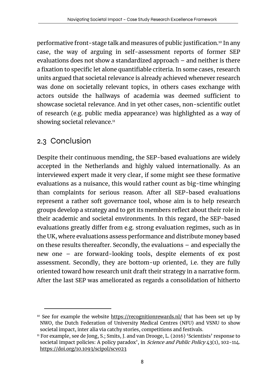performative front-stage talk and measures of public justification.10 In any case, the way of arguing in self-assessment reports of former SEP evaluations does not show a standardized approach – and neither is there a fixation to specific let alone quantifiable criteria. In some cases, research units argued that societal relevance is already achieved whenever research was done on societally relevant topics, in others cases exchange with actors outside the hallways of academia was deemed sufficient to showcase societal relevance. And in yet other cases, non-scientific outlet of research (e.g. public media appearance) was highlighted as a way of showing societal relevance.<sup>11</sup>

#### 2.3 Conclusion

Despite their continuous mending, the SEP-based evaluations are widely accepted in the Netherlands and highly valued internationally. As an interviewed expert made it very clear, if some might see these formative evaluations as a nuisance, this would rather count as big-time whinging than complaints for serious reason. After all SEP-based evaluations represent a rather soft governance tool, whose aim is to help research groups develop a strategy and to get its members reflect about their role in their academic and societal environments. In this regard, the SEP-based evaluations greatly differ from e.g. strong evaluation regimes, such as in the UK, where evaluations assess performance and distribute money based on these results thereafter. Secondly, the evaluations – and especially the new one – are forward-looking tools, despite elements of ex post assessment. Secondly, they are bottom-up oriented, i.e. they are fully oriented toward how research unit draft their strategy in a narrative form. After the last SEP was ameliorated as regards a consolidation of hitherto

 $10$  See for example the website https://recognitionrewards.nl/ that has been set up by NWO, the Dutch Federation of University Medical Centres (NFU) and VSNU to show societal impact, inter alia via catchy stories, competitions and festivals.

<sup>&</sup>lt;sup>11</sup> For example, see de Jong, S.; Smits, J. and van Drooge, L. (2016) 'Scientists' response to societal impact policies: A policy paradox', in *Science and Public Policy* 43(1), 102-114. https://doi.org/10.1093/scipol/scv023